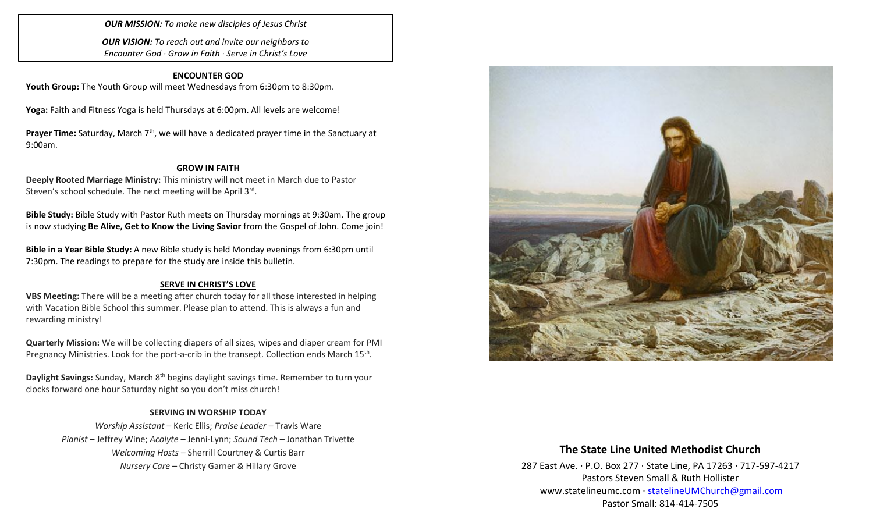*OUR MISSION: To make new disciples of Jesus Christ*

*OUR VISION: To reach out and invite our neighbors to Encounter God · Grow in Faith · Serve in Christ's Love*

## **ENCOUNTER GOD**

Youth Group: The Youth Group will meet Wednesdays from 6:30pm to 8:30pm.

**Yoga:** Faith and Fitness Yoga is held Thursdays at 6:00pm. All levels are welcome!

**Prayer Time:** Saturday, March 7<sup>th</sup>, we will have a dedicated prayer time in the Sanctuary at 9:00am.

#### **GROW IN FAITH**

**Deeply Rooted Marriage Ministry:** This ministry will not meet in March due to Pastor Steven's school schedule. The next meeting will be April 3rd.

**Bible Study:** Bible Study with Pastor Ruth meets on Thursday mornings at 9:30am. The group is now studying **Be Alive, Get to Know the Living Savior** from the Gospel of John. Come join!

**Bible in a Year Bible Study:** A new Bible study is held Monday evenings from 6:30pm until 7:30pm. The readings to prepare for the study are inside this bulletin.

#### **SERVE IN CHRIST'S LOVE**

**VBS Meeting:** There will be a meeting after church today for all those interested in helping with Vacation Bible School this summer. Please plan to attend. This is always a fun and rewarding ministry!

**Quarterly Mission:** We will be collecting diapers of all sizes, wipes and diaper cream for PMI Pregnancy Ministries. Look for the port-a-crib in the transept. Collection ends March 15<sup>th</sup>.

Daylight Savings: Sunday, March 8<sup>th</sup> begins daylight savings time. Remember to turn your clocks forward one hour Saturday night so you don't miss church!

#### **SERVING IN WORSHIP TODAY**

*Worship Assistant* – Keric Ellis; *Praise Leader* – Travis Ware *Pianist* – Jeffrey Wine; *Acolyte* – Jenni-Lynn; *Sound Tech* – Jonathan Trivette *Welcoming Hosts* – Sherrill Courtney & Curtis Barr *Nursery Care* – Christy Garner & Hillary Grove



## **The State Line United Methodist Church**

287 East Ave. · P.O. Box 277 · State Line, PA 17263 · 717-597-4217 Pastors Steven Small & Ruth Hollister [www.statelineumc.com](http://www.statelineumc.com/) · [statelineUMChurch@gmail.com](mailto:statelineUMChurch@gmail.com) Pastor Small: 814-414-7505